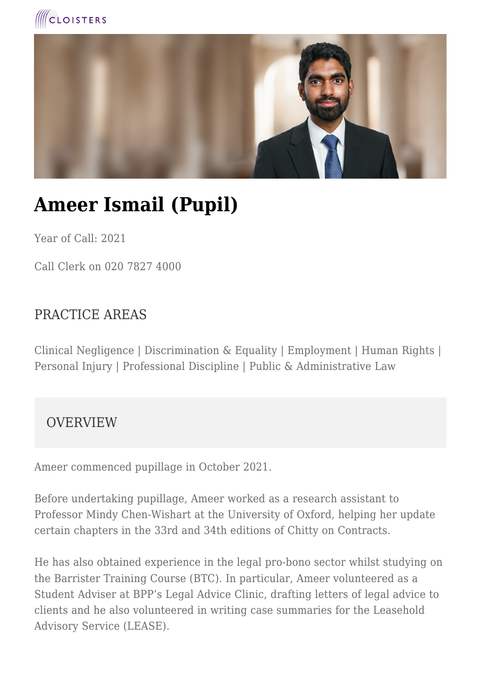



# **Ameer Ismail (Pupil)**

Year of Call: 2021

Call Clerk on 020 7827 4000

## PRACTICE AREAS

Clinical Negligence | Discrimination & Equality | Employment | Human Rights | Personal Injury | Professional Discipline | Public & Administrative Law

#### **OVERVIEW**

Ameer commenced pupillage in October 2021.

Before undertaking pupillage, Ameer worked as a research assistant to Professor Mindy Chen-Wishart at the University of Oxford, helping her update certain chapters in the 33rd and 34th editions of Chitty on Contracts.

He has also obtained experience in the legal pro-bono sector whilst studying on the Barrister Training Course (BTC). In particular, Ameer volunteered as a Student Adviser at BPP's Legal Advice Clinic, drafting letters of legal advice to clients and he also volunteered in writing case summaries for the Leasehold Advisory Service (LEASE).